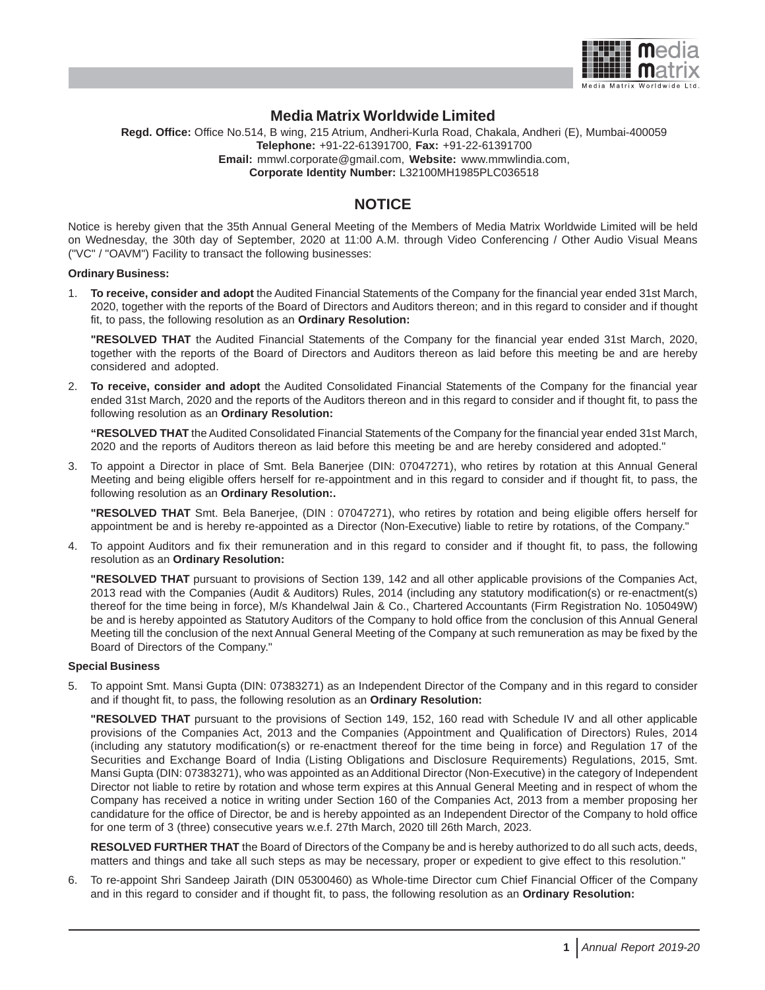

# **Media Matrix Worldwide Limited**

**Regd. Office:** Office No.514, B wing, 215 Atrium, Andheri-Kurla Road, Chakala, Andheri (E), Mumbai-400059 **Telephone:** +91-22-61391700, **Fax:** +91-22-61391700 **Email:** mmwl.corporate@gmail.com, **Website:** www.mmwlindia.com, **Corporate Identity Number:** L32100MH1985PLC036518

# **NOTICE**

Notice is hereby given that the 35th Annual General Meeting of the Members of Media Matrix Worldwide Limited will be held on Wednesday, the 30th day of September, 2020 at 11:00 A.M. through Video Conferencing / Other Audio Visual Means ("VC" / "OAVM") Facility to transact the following businesses:

# **Ordinary Business:**

1. **To receive, consider and adopt** the Audited Financial Statements of the Company for the financial year ended 31st March, 2020, together with the reports of the Board of Directors and Auditors thereon; and in this regard to consider and if thought fit, to pass, the following resolution as an **Ordinary Resolution:**

**"RESOLVED THAT** the Audited Financial Statements of the Company for the financial year ended 31st March, 2020, together with the reports of the Board of Directors and Auditors thereon as laid before this meeting be and are hereby considered and adopted.

2. **To receive, consider and adopt** the Audited Consolidated Financial Statements of the Company for the financial year ended 31st March, 2020 and the reports of the Auditors thereon and in this regard to consider and if thought fit, to pass the following resolution as an **Ordinary Resolution:**

**"RESOLVED THAT** the Audited Consolidated Financial Statements of the Company for the financial year ended 31st March, 2020 and the reports of Auditors thereon as laid before this meeting be and are hereby considered and adopted."

3. To appoint a Director in place of Smt. Bela Banerjee (DIN: 07047271), who retires by rotation at this Annual General Meeting and being eligible offers herself for re-appointment and in this regard to consider and if thought fit, to pass, the following resolution as an **Ordinary Resolution:.**

**"RESOLVED THAT** Smt. Bela Banerjee, (DIN : 07047271), who retires by rotation and being eligible offers herself for appointment be and is hereby re-appointed as a Director (Non-Executive) liable to retire by rotations, of the Company."

4. To appoint Auditors and fix their remuneration and in this regard to consider and if thought fit, to pass, the following resolution as an **Ordinary Resolution:**

**"RESOLVED THAT** pursuant to provisions of Section 139, 142 and all other applicable provisions of the Companies Act, 2013 read with the Companies (Audit & Auditors) Rules, 2014 (including any statutory modification(s) or re-enactment(s) thereof for the time being in force), M/s Khandelwal Jain & Co., Chartered Accountants (Firm Registration No. 105049W) be and is hereby appointed as Statutory Auditors of the Company to hold office from the conclusion of this Annual General Meeting till the conclusion of the next Annual General Meeting of the Company at such remuneration as may be fixed by the Board of Directors of the Company."

#### **Special Business**

5. To appoint Smt. Mansi Gupta (DIN: 07383271) as an Independent Director of the Company and in this regard to consider and if thought fit, to pass, the following resolution as an **Ordinary Resolution:**

**"RESOLVED THAT** pursuant to the provisions of Section 149, 152, 160 read with Schedule IV and all other applicable provisions of the Companies Act, 2013 and the Companies (Appointment and Qualification of Directors) Rules, 2014 (including any statutory modification(s) or re-enactment thereof for the time being in force) and Regulation 17 of the Securities and Exchange Board of India (Listing Obligations and Disclosure Requirements) Regulations, 2015, Smt. Mansi Gupta (DIN: 07383271), who was appointed as an Additional Director (Non-Executive) in the category of Independent Director not liable to retire by rotation and whose term expires at this Annual General Meeting and in respect of whom the Company has received a notice in writing under Section 160 of the Companies Act, 2013 from a member proposing her candidature for the office of Director, be and is hereby appointed as an Independent Director of the Company to hold office for one term of 3 (three) consecutive years w.e.f. 27th March, 2020 till 26th March, 2023.

**RESOLVED FURTHER THAT** the Board of Directors of the Company be and is hereby authorized to do all such acts, deeds, matters and things and take all such steps as may be necessary, proper or expedient to give effect to this resolution."

6. To re-appoint Shri Sandeep Jairath (DIN 05300460) as Whole-time Director cum Chief Financial Officer of the Company and in this regard to consider and if thought fit, to pass, the following resolution as an **Ordinary Resolution:**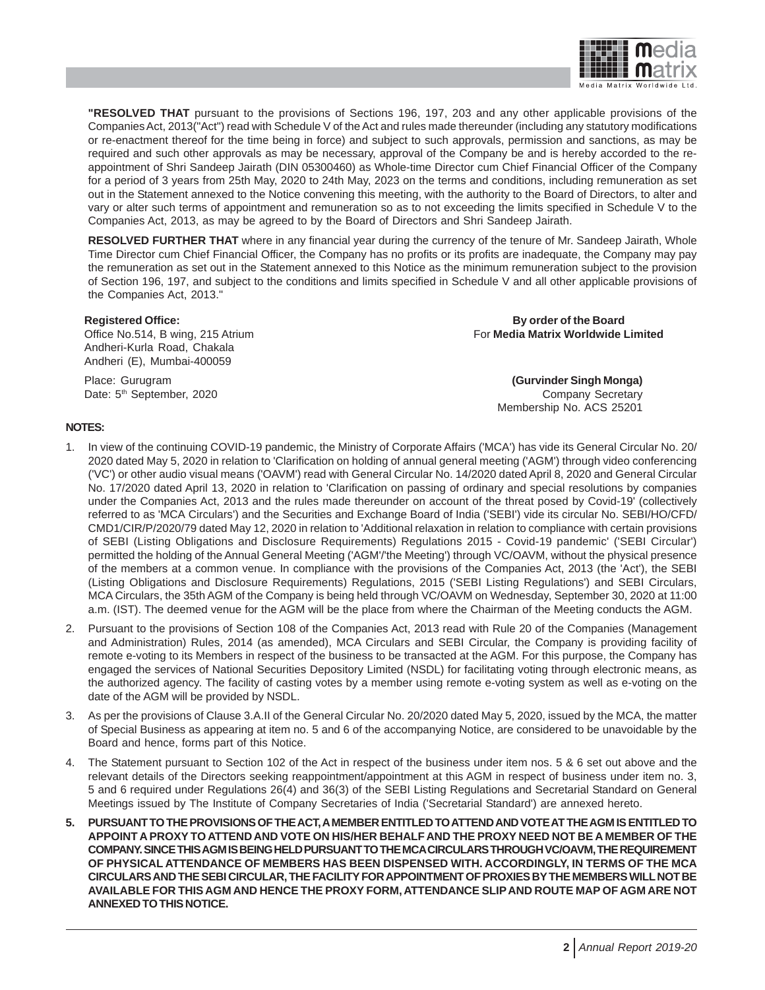

**"RESOLVED THAT** pursuant to the provisions of Sections 196, 197, 203 and any other applicable provisions of the Companies Act, 2013("Act") read with Schedule V of the Act and rules made thereunder (including any statutory modifications or re-enactment thereof for the time being in force) and subject to such approvals, permission and sanctions, as may be required and such other approvals as may be necessary, approval of the Company be and is hereby accorded to the reappointment of Shri Sandeep Jairath (DIN 05300460) as Whole-time Director cum Chief Financial Officer of the Company for a period of 3 years from 25th May, 2020 to 24th May, 2023 on the terms and conditions, including remuneration as set out in the Statement annexed to the Notice convening this meeting, with the authority to the Board of Directors, to alter and vary or alter such terms of appointment and remuneration so as to not exceeding the limits specified in Schedule V to the Companies Act, 2013, as may be agreed to by the Board of Directors and Shri Sandeep Jairath.

**RESOLVED FURTHER THAT** where in any financial year during the currency of the tenure of Mr. Sandeep Jairath, Whole Time Director cum Chief Financial Officer, the Company has no profits or its profits are inadequate, the Company may pay the remuneration as set out in the Statement annexed to this Notice as the minimum remuneration subject to the provision of Section 196, 197, and subject to the conditions and limits specified in Schedule V and all other applicable provisions of the Companies Act, 2013."

Andheri-Kurla Road, Chakala Andheri (E), Mumbai-400059

**Registered Office: By order of the Board** Office No.514, B wing, 215 Atrium **For Media Matrix Worldwide Limited** 

Place: Gurugram **(Gurvinder Singh Monga)** Date: 5<sup>th</sup> September, 2020 **Company Secretary** Membership No. ACS 25201

# **NOTES:**

- 1. In view of the continuing COVID-19 pandemic, the Ministry of Corporate Affairs ('MCA') has vide its General Circular No. 20/ 2020 dated May 5, 2020 in relation to 'Clarification on holding of annual general meeting ('AGM') through video conferencing ('VC') or other audio visual means ('OAVM') read with General Circular No. 14/2020 dated April 8, 2020 and General Circular No. 17/2020 dated April 13, 2020 in relation to 'Clarification on passing of ordinary and special resolutions by companies under the Companies Act, 2013 and the rules made thereunder on account of the threat posed by Covid-19' (collectively referred to as 'MCA Circulars') and the Securities and Exchange Board of India ('SEBI') vide its circular No. SEBI/HO/CFD/ CMD1/CIR/P/2020/79 dated May 12, 2020 in relation to 'Additional relaxation in relation to compliance with certain provisions of SEBI (Listing Obligations and Disclosure Requirements) Regulations 2015 - Covid-19 pandemic' ('SEBI Circular') permitted the holding of the Annual General Meeting ('AGM'/'the Meeting') through VC/OAVM, without the physical presence of the members at a common venue. In compliance with the provisions of the Companies Act, 2013 (the 'Act'), the SEBI (Listing Obligations and Disclosure Requirements) Regulations, 2015 ('SEBI Listing Regulations') and SEBI Circulars, MCA Circulars, the 35th AGM of the Company is being held through VC/OAVM on Wednesday, September 30, 2020 at 11:00 a.m. (IST). The deemed venue for the AGM will be the place from where the Chairman of the Meeting conducts the AGM.
- 2. Pursuant to the provisions of Section 108 of the Companies Act, 2013 read with Rule 20 of the Companies (Management and Administration) Rules, 2014 (as amended), MCA Circulars and SEBI Circular, the Company is providing facility of remote e-voting to its Members in respect of the business to be transacted at the AGM. For this purpose, the Company has engaged the services of National Securities Depository Limited (NSDL) for facilitating voting through electronic means, as the authorized agency. The facility of casting votes by a member using remote e-voting system as well as e-voting on the date of the AGM will be provided by NSDL.
- 3. As per the provisions of Clause 3.A.II of the General Circular No. 20/2020 dated May 5, 2020, issued by the MCA, the matter of Special Business as appearing at item no. 5 and 6 of the accompanying Notice, are considered to be unavoidable by the Board and hence, forms part of this Notice.
- 4. The Statement pursuant to Section 102 of the Act in respect of the business under item nos. 5 & 6 set out above and the relevant details of the Directors seeking reappointment/appointment at this AGM in respect of business under item no. 3, 5 and 6 required under Regulations 26(4) and 36(3) of the SEBI Listing Regulations and Secretarial Standard on General Meetings issued by The Institute of Company Secretaries of India ('Secretarial Standard') are annexed hereto.
- **5. PURSUANT TO THE PROVISIONS OF THE ACT, A MEMBER ENTITLED TO ATTEND AND VOTE AT THE AGM IS ENTITLED TO APPOINT A PROXY TO ATTEND AND VOTE ON HIS/HER BEHALF AND THE PROXY NEED NOT BE A MEMBER OF THE COMPANY. SINCE THIS AGM IS BEING HELD PURSUANT TO THE MCA CIRCULARS THROUGH VC/OAVM, THE REQUIREMENT OF PHYSICAL ATTENDANCE OF MEMBERS HAS BEEN DISPENSED WITH. ACCORDINGLY, IN TERMS OF THE MCA CIRCULARS AND THE SEBI CIRCULAR, THE FACILITY FOR APPOINTMENT OF PROXIES BY THE MEMBERS WILL NOT BE AVAILABLE FOR THIS AGM AND HENCE THE PROXY FORM, ATTENDANCE SLIP AND ROUTE MAP OF AGM ARE NOT ANNEXED TO THIS NOTICE.**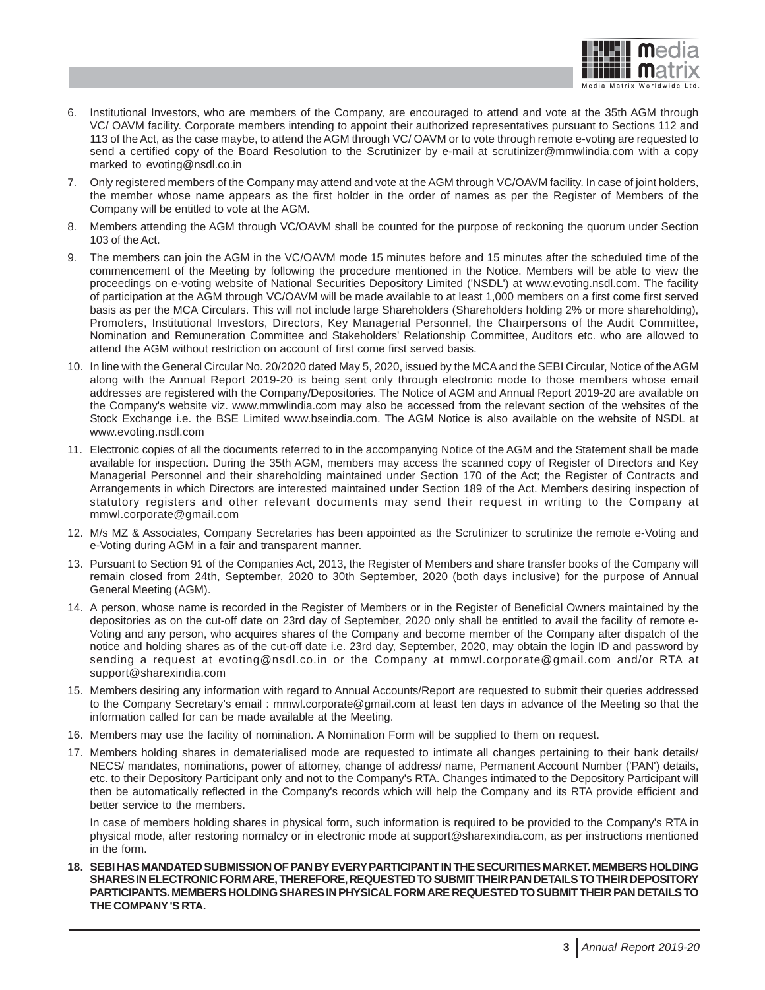

- 6. Institutional Investors, who are members of the Company, are encouraged to attend and vote at the 35th AGM through VC/ OAVM facility. Corporate members intending to appoint their authorized representatives pursuant to Sections 112 and 113 of the Act, as the case maybe, to attend the AGM through VC/ OAVM or to vote through remote e-voting are requested to send a certified copy of the Board Resolution to the Scrutinizer by e-mail at scrutinizer@mmwlindia.com with a copy marked to evoting@nsdl.co.in
- 7. Only registered members of the Company may attend and vote at the AGM through VC/OAVM facility. In case of joint holders, the member whose name appears as the first holder in the order of names as per the Register of Members of the Company will be entitled to vote at the AGM.
- 8. Members attending the AGM through VC/OAVM shall be counted for the purpose of reckoning the quorum under Section 103 of the Act.
- 9. The members can join the AGM in the VC/OAVM mode 15 minutes before and 15 minutes after the scheduled time of the commencement of the Meeting by following the procedure mentioned in the Notice. Members will be able to view the proceedings on e-voting website of National Securities Depository Limited ('NSDL') at www.evoting.nsdl.com. The facility of participation at the AGM through VC/OAVM will be made available to at least 1,000 members on a first come first served basis as per the MCA Circulars. This will not include large Shareholders (Shareholders holding 2% or more shareholding), Promoters, Institutional Investors, Directors, Key Managerial Personnel, the Chairpersons of the Audit Committee, Nomination and Remuneration Committee and Stakeholders' Relationship Committee, Auditors etc. who are allowed to attend the AGM without restriction on account of first come first served basis.
- 10. In line with the General Circular No. 20/2020 dated May 5, 2020, issued by the MCA and the SEBI Circular, Notice of the AGM along with the Annual Report 2019-20 is being sent only through electronic mode to those members whose email addresses are registered with the Company/Depositories. The Notice of AGM and Annual Report 2019-20 are available on the Company's website viz. www.mmwlindia.com may also be accessed from the relevant section of the websites of the Stock Exchange i.e. the BSE Limited www.bseindia.com. The AGM Notice is also available on the website of NSDL at www.evoting.nsdl.com
- 11. Electronic copies of all the documents referred to in the accompanying Notice of the AGM and the Statement shall be made available for inspection. During the 35th AGM, members may access the scanned copy of Register of Directors and Key Managerial Personnel and their shareholding maintained under Section 170 of the Act; the Register of Contracts and Arrangements in which Directors are interested maintained under Section 189 of the Act. Members desiring inspection of statutory registers and other relevant documents may send their request in writing to the Company at mmwl.corporate@gmail.com
- 12. M/s MZ & Associates, Company Secretaries has been appointed as the Scrutinizer to scrutinize the remote e-Voting and e-Voting during AGM in a fair and transparent manner.
- 13. Pursuant to Section 91 of the Companies Act, 2013, the Register of Members and share transfer books of the Company will remain closed from 24th, September, 2020 to 30th September, 2020 (both days inclusive) for the purpose of Annual General Meeting (AGM).
- 14. A person, whose name is recorded in the Register of Members or in the Register of Beneficial Owners maintained by the depositories as on the cut-off date on 23rd day of September, 2020 only shall be entitled to avail the facility of remote e-Voting and any person, who acquires shares of the Company and become member of the Company after dispatch of the notice and holding shares as of the cut-off date i.e. 23rd day, September, 2020, may obtain the login ID and password by sending a request at evoting@nsdl.co.in or the Company at mmwl.corporate@gmail.com and/or RTA at support@sharexindia.com
- 15. Members desiring any information with regard to Annual Accounts/Report are requested to submit their queries addressed to the Company Secretary's email : mmwl.corporate@gmail.com at least ten days in advance of the Meeting so that the information called for can be made available at the Meeting.
- 16. Members may use the facility of nomination. A Nomination Form will be supplied to them on request.
- 17. Members holding shares in dematerialised mode are requested to intimate all changes pertaining to their bank details/ NECS/ mandates, nominations, power of attorney, change of address/ name, Permanent Account Number ('PAN') details, etc. to their Depository Participant only and not to the Company's RTA. Changes intimated to the Depository Participant will then be automatically reflected in the Company's records which will help the Company and its RTA provide efficient and better service to the members.

In case of members holding shares in physical form, such information is required to be provided to the Company's RTA in physical mode, after restoring normalcy or in electronic mode at support@sharexindia.com, as per instructions mentioned in the form.

**18. SEBI HAS MANDATED SUBMISSION OF PAN BY EVERY PARTICIPANT IN THE SECURITIES MARKET. MEMBERS HOLDING SHARES IN ELECTRONIC FORM ARE, THEREFORE, REQUESTED TO SUBMIT THEIR PAN DETAILS TO THEIR DEPOSITORY PARTICIPANTS. MEMBERS HOLDING SHARES IN PHYSICAL FORM ARE REQUESTED TO SUBMIT THEIR PAN DETAILS TO THE COMPANY 'S RTA.**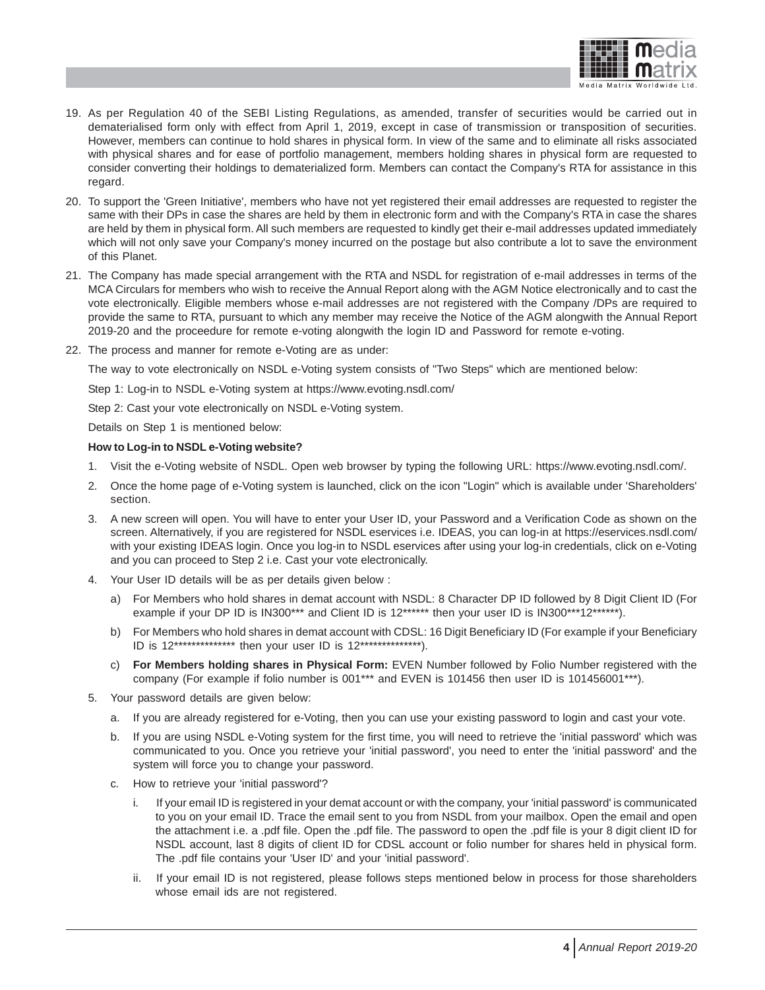

- 19. As per Regulation 40 of the SEBI Listing Regulations, as amended, transfer of securities would be carried out in dematerialised form only with effect from April 1, 2019, except in case of transmission or transposition of securities. However, members can continue to hold shares in physical form. In view of the same and to eliminate all risks associated with physical shares and for ease of portfolio management, members holding shares in physical form are requested to consider converting their holdings to dematerialized form. Members can contact the Company's RTA for assistance in this regard.
- 20. To support the 'Green Initiative', members who have not yet registered their email addresses are requested to register the same with their DPs in case the shares are held by them in electronic form and with the Company's RTA in case the shares are held by them in physical form. All such members are requested to kindly get their e-mail addresses updated immediately which will not only save your Company's money incurred on the postage but also contribute a lot to save the environment of this Planet.
- 21. The Company has made special arrangement with the RTA and NSDL for registration of e-mail addresses in terms of the MCA Circulars for members who wish to receive the Annual Report along with the AGM Notice electronically and to cast the vote electronically. Eligible members whose e-mail addresses are not registered with the Company /DPs are required to provide the same to RTA, pursuant to which any member may receive the Notice of the AGM alongwith the Annual Report 2019-20 and the proceedure for remote e-voting alongwith the login ID and Password for remote e-voting.
- 22. The process and manner for remote e-Voting are as under:

The way to vote electronically on NSDL e-Voting system consists of "Two Steps" which are mentioned below:

Step 1: Log-in to NSDL e-Voting system at https://www.evoting.nsdl.com/

Step 2: Cast your vote electronically on NSDL e-Voting system.

Details on Step 1 is mentioned below:

# **How to Log-in to NSDL e-Voting website?**

- 1. Visit the e-Voting website of NSDL. Open web browser by typing the following URL: https://www.evoting.nsdl.com/.
- 2. Once the home page of e-Voting system is launched, click on the icon "Login" which is available under 'Shareholders' section.
- 3. A new screen will open. You will have to enter your User ID, your Password and a Verification Code as shown on the screen. Alternatively, if you are registered for NSDL eservices i.e. IDEAS, you can log-in at https://eservices.nsdl.com/ with your existing IDEAS login. Once you log-in to NSDL eservices after using your log-in credentials, click on e-Voting and you can proceed to Step 2 i.e. Cast your vote electronically.
- 4. Your User ID details will be as per details given below :
	- a) For Members who hold shares in demat account with NSDL: 8 Character DP ID followed by 8 Digit Client ID (For example if your DP ID is IN300\*\*\* and Client ID is 12\*\*\*\*\*\* then your user ID is IN300\*\*\*12\*\*\*\*\*\*).
	- b) For Members who hold shares in demat account with CDSL: 16 Digit Beneficiary ID (For example if your Beneficiary ID is 12\*\*\*\*\*\*\*\*\*\*\*\*\*\* then your user ID is 12\*\*\*\*\*\*\*\*\*\*\*\*\*\*).
	- c) **For Members holding shares in Physical Form:** EVEN Number followed by Folio Number registered with the company (For example if folio number is 001\*\*\* and EVEN is 101456 then user ID is 101456001\*\*\*).
- 5. Your password details are given below:
	- a. If you are already registered for e-Voting, then you can use your existing password to login and cast your vote.
	- b. If you are using NSDL e-Voting system for the first time, you will need to retrieve the 'initial password' which was communicated to you. Once you retrieve your 'initial password', you need to enter the 'initial password' and the system will force you to change your password.
	- c. How to retrieve your 'initial password'?
		- i. If your email ID is registered in your demat account or with the company, your 'initial password' is communicated to you on your email ID. Trace the email sent to you from NSDL from your mailbox. Open the email and open the attachment i.e. a .pdf file. Open the .pdf file. The password to open the .pdf file is your 8 digit client ID for NSDL account, last 8 digits of client ID for CDSL account or folio number for shares held in physical form. The .pdf file contains your 'User ID' and your 'initial password'.
		- ii. If your email ID is not registered, please follows steps mentioned below in process for those shareholders whose email ids are not registered.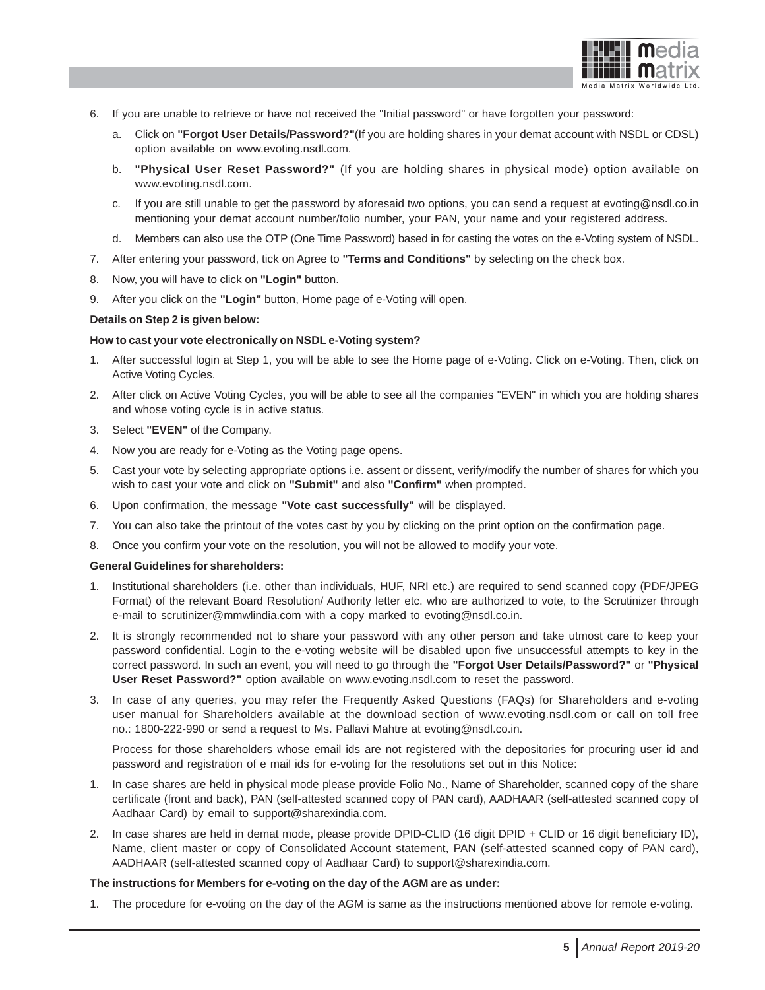

- 6. If you are unable to retrieve or have not received the "Initial password" or have forgotten your password:
	- a. Click on **"Forgot User Details/Password?"**(If you are holding shares in your demat account with NSDL or CDSL) option available on www.evoting.nsdl.com.
	- b. **"Physical User Reset Password?"** (If you are holding shares in physical mode) option available on www.evoting.nsdl.com.
	- c. If you are still unable to get the password by aforesaid two options, you can send a request at evoting@nsdl.co.in mentioning your demat account number/folio number, your PAN, your name and your registered address.
	- d. Members can also use the OTP (One Time Password) based in for casting the votes on the e-Voting system of NSDL.
- 7. After entering your password, tick on Agree to **"Terms and Conditions"** by selecting on the check box.
- 8. Now, you will have to click on **"Login"** button.
- 9. After you click on the **"Login"** button, Home page of e-Voting will open.

# **Details on Step 2 is given below:**

# **How to cast your vote electronically on NSDL e-Voting system?**

- 1. After successful login at Step 1, you will be able to see the Home page of e-Voting. Click on e-Voting. Then, click on Active Voting Cycles.
- 2. After click on Active Voting Cycles, you will be able to see all the companies "EVEN" in which you are holding shares and whose voting cycle is in active status.
- 3. Select **"EVEN"** of the Company.
- 4. Now you are ready for e-Voting as the Voting page opens.
- 5. Cast your vote by selecting appropriate options i.e. assent or dissent, verify/modify the number of shares for which you wish to cast your vote and click on **"Submit"** and also **"Confirm"** when prompted.
- 6. Upon confirmation, the message **"Vote cast successfully"** will be displayed.
- 7. You can also take the printout of the votes cast by you by clicking on the print option on the confirmation page.
- 8. Once you confirm your vote on the resolution, you will not be allowed to modify your vote.

### **General Guidelines for shareholders:**

- 1. Institutional shareholders (i.e. other than individuals, HUF, NRI etc.) are required to send scanned copy (PDF/JPEG Format) of the relevant Board Resolution/ Authority letter etc. who are authorized to vote, to the Scrutinizer through e-mail to scrutinizer@mmwlindia.com with a copy marked to evoting@nsdl.co.in.
- 2. It is strongly recommended not to share your password with any other person and take utmost care to keep your password confidential. Login to the e-voting website will be disabled upon five unsuccessful attempts to key in the correct password. In such an event, you will need to go through the **"Forgot User Details/Password?"** or **"Physical User Reset Password?"** option available on www.evoting.nsdl.com to reset the password.
- 3. In case of any queries, you may refer the Frequently Asked Questions (FAQs) for Shareholders and e-voting user manual for Shareholders available at the download section of www.evoting.nsdl.com or call on toll free no.: 1800-222-990 or send a request to Ms. Pallavi Mahtre at evoting@nsdl.co.in.

Process for those shareholders whose email ids are not registered with the depositories for procuring user id and password and registration of e mail ids for e-voting for the resolutions set out in this Notice:

- 1. In case shares are held in physical mode please provide Folio No., Name of Shareholder, scanned copy of the share certificate (front and back), PAN (self-attested scanned copy of PAN card), AADHAAR (self-attested scanned copy of Aadhaar Card) by email to support@sharexindia.com.
- 2. In case shares are held in demat mode, please provide DPID-CLID (16 digit DPID + CLID or 16 digit beneficiary ID), Name, client master or copy of Consolidated Account statement, PAN (self-attested scanned copy of PAN card), AADHAAR (self-attested scanned copy of Aadhaar Card) to support@sharexindia.com.

#### **The instructions for Members for e-voting on the day of the AGM are as under:**

1. The procedure for e-voting on the day of the AGM is same as the instructions mentioned above for remote e-voting.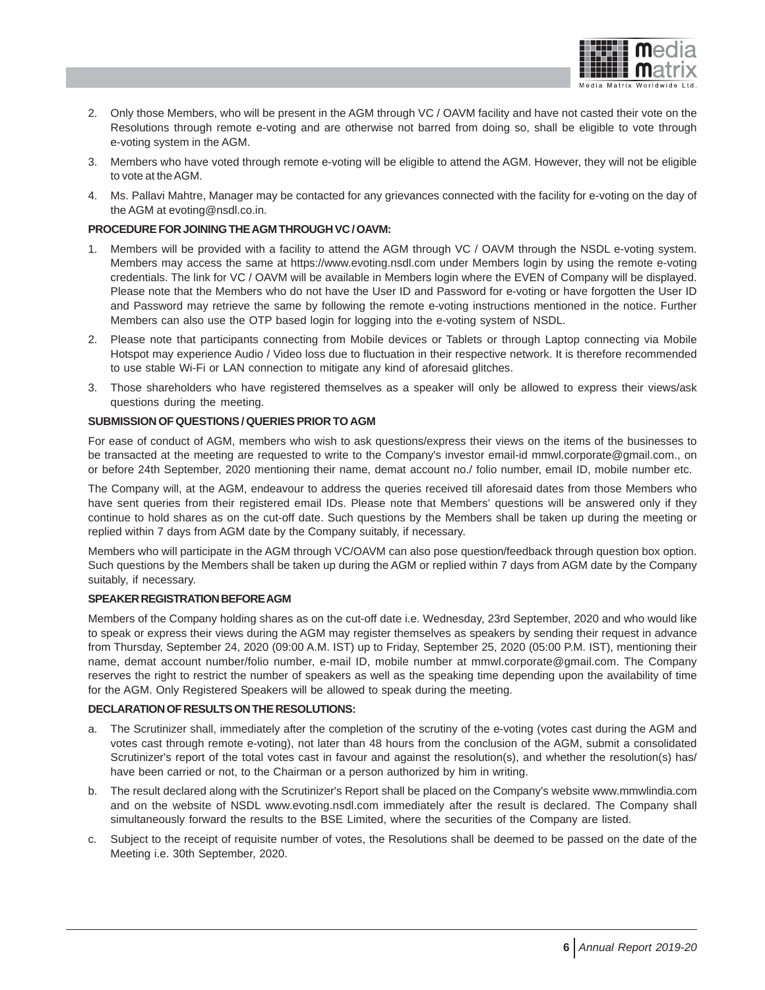

- 2. Only those Members, who will be present in the AGM through VC / OAVM facility and have not casted their vote on the Resolutions through remote e-voting and are otherwise not barred from doing so, shall be eligible to vote through e-voting system in the AGM.
- 3. Members who have voted through remote e-voting will be eligible to attend the AGM. However, they will not be eligible to vote at the AGM.
- 4. Ms. Pallavi Mahtre, Manager may be contacted for any grievances connected with the facility for e-voting on the day of the AGM at evoting@nsdl.co.in.

# **PROCEDURE FOR JOINING THE AGM THROUGH VC / OAVM:**

- 1. Members will be provided with a facility to attend the AGM through VC / OAVM through the NSDL e-voting system. Members may access the same at https://www.evoting.nsdl.com under Members login by using the remote e-voting credentials. The link for VC / OAVM will be available in Members login where the EVEN of Company will be displayed. Please note that the Members who do not have the User ID and Password for e-voting or have forgotten the User ID and Password may retrieve the same by following the remote e-voting instructions mentioned in the notice. Further Members can also use the OTP based login for logging into the e-voting system of NSDL.
- 2. Please note that participants connecting from Mobile devices or Tablets or through Laptop connecting via Mobile Hotspot may experience Audio / Video loss due to fluctuation in their respective network. It is therefore recommended to use stable Wi-Fi or LAN connection to mitigate any kind of aforesaid glitches.
- 3. Those shareholders who have registered themselves as a speaker will only be allowed to express their views/ask questions during the meeting.

# **SUBMISSION OF QUESTIONS / QUERIES PRIOR TO AGM**

For ease of conduct of AGM, members who wish to ask questions/express their views on the items of the businesses to be transacted at the meeting are requested to write to the Company's investor email-id mmwl.corporate@gmail.com., on or before 24th September, 2020 mentioning their name, demat account no./ folio number, email ID, mobile number etc.

The Company will, at the AGM, endeavour to address the queries received till aforesaid dates from those Members who have sent queries from their registered email IDs. Please note that Members' questions will be answered only if they continue to hold shares as on the cut-off date. Such questions by the Members shall be taken up during the meeting or replied within 7 days from AGM date by the Company suitably, if necessary.

Members who will participate in the AGM through VC/OAVM can also pose question/feedback through question box option. Such questions by the Members shall be taken up during the AGM or replied within 7 days from AGM date by the Company suitably, if necessary.

# **SPEAKER REGISTRATION BEFORE AGM**

Members of the Company holding shares as on the cut-off date i.e. Wednesday, 23rd September, 2020 and who would like to speak or express their views during the AGM may register themselves as speakers by sending their request in advance from Thursday, September 24, 2020 (09:00 A.M. IST) up to Friday, September 25, 2020 (05:00 P.M. IST), mentioning their name, demat account number/folio number, e-mail ID, mobile number at mmwl.corporate@gmail.com. The Company reserves the right to restrict the number of speakers as well as the speaking time depending upon the availability of time for the AGM. Only Registered Speakers will be allowed to speak during the meeting.

#### **DECLARATION OF RESULTS ON THE RESOLUTIONS:**

- a. The Scrutinizer shall, immediately after the completion of the scrutiny of the e-voting (votes cast during the AGM and votes cast through remote e-voting), not later than 48 hours from the conclusion of the AGM, submit a consolidated Scrutinizer's report of the total votes cast in favour and against the resolution(s), and whether the resolution(s) has/ have been carried or not, to the Chairman or a person authorized by him in writing.
- b. The result declared along with the Scrutinizer's Report shall be placed on the Company's website www.mmwlindia.com and on the website of NSDL www.evoting.nsdl.com immediately after the result is declared. The Company shall simultaneously forward the results to the BSE Limited, where the securities of the Company are listed.
- c. Subject to the receipt of requisite number of votes, the Resolutions shall be deemed to be passed on the date of the Meeting i.e. 30th September, 2020.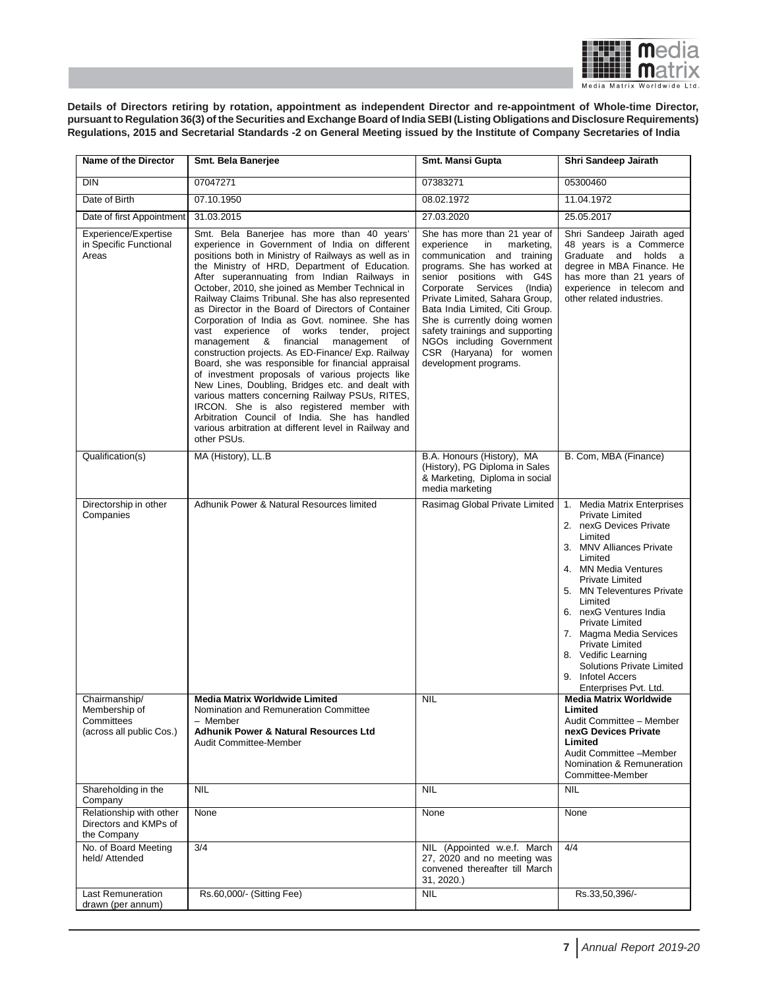

**Details of Directors retiring by rotation, appointment as independent Director and re-appointment of Whole-time Director, pursuant to Regulation 36(3) of the Securities and Exchange Board of India SEBI (Listing Obligations and Disclosure Requirements) Regulations, 2015 and Secretarial Standards -2 on General Meeting issued by the Institute of Company Secretaries of India**

| Name of the Director                                                     | Smt. Bela Banerjee                                                                                                                                                                                                                                                                                                                                                                                                                                                                                                                                                                                                                                                                                                                                                                                                                                                                                                                                                                                         | Smt. Mansi Gupta                                                                                                                                                                                                                                                                                                                                                                                                   | Shri Sandeep Jairath                                                                                                                                                                                                                                                                                                                                                                                                                            |
|--------------------------------------------------------------------------|------------------------------------------------------------------------------------------------------------------------------------------------------------------------------------------------------------------------------------------------------------------------------------------------------------------------------------------------------------------------------------------------------------------------------------------------------------------------------------------------------------------------------------------------------------------------------------------------------------------------------------------------------------------------------------------------------------------------------------------------------------------------------------------------------------------------------------------------------------------------------------------------------------------------------------------------------------------------------------------------------------|--------------------------------------------------------------------------------------------------------------------------------------------------------------------------------------------------------------------------------------------------------------------------------------------------------------------------------------------------------------------------------------------------------------------|-------------------------------------------------------------------------------------------------------------------------------------------------------------------------------------------------------------------------------------------------------------------------------------------------------------------------------------------------------------------------------------------------------------------------------------------------|
| <b>DIN</b>                                                               | 07047271                                                                                                                                                                                                                                                                                                                                                                                                                                                                                                                                                                                                                                                                                                                                                                                                                                                                                                                                                                                                   | 07383271                                                                                                                                                                                                                                                                                                                                                                                                           | 05300460                                                                                                                                                                                                                                                                                                                                                                                                                                        |
| Date of Birth                                                            | 07.10.1950                                                                                                                                                                                                                                                                                                                                                                                                                                                                                                                                                                                                                                                                                                                                                                                                                                                                                                                                                                                                 | 08.02.1972                                                                                                                                                                                                                                                                                                                                                                                                         | 11.04.1972                                                                                                                                                                                                                                                                                                                                                                                                                                      |
| Date of first Appointment                                                | 31.03.2015                                                                                                                                                                                                                                                                                                                                                                                                                                                                                                                                                                                                                                                                                                                                                                                                                                                                                                                                                                                                 | 27.03.2020                                                                                                                                                                                                                                                                                                                                                                                                         | 25.05.2017                                                                                                                                                                                                                                                                                                                                                                                                                                      |
| Experience/Expertise<br>in Specific Functional<br>Areas                  | Smt. Bela Banerjee has more than 40 years'<br>experience in Government of India on different<br>positions both in Ministry of Railways as well as in<br>the Ministry of HRD, Department of Education.<br>After superannuating from Indian Railways in<br>October, 2010, she joined as Member Technical in<br>Railway Claims Tribunal. She has also represented<br>as Director in the Board of Directors of Container<br>Corporation of India as Govt. nominee. She has<br>vast experience of works tender,<br>project<br>management & financial management of<br>construction projects. As ED-Finance/ Exp. Railway<br>Board, she was responsible for financial appraisal<br>of investment proposals of various projects like<br>New Lines, Doubling, Bridges etc. and dealt with<br>various matters concerning Railway PSUs, RITES,<br>IRCON. She is also registered member with<br>Arbitration Council of India. She has handled<br>various arbitration at different level in Railway and<br>other PSUs. | She has more than 21 year of<br>marketing,<br>experience<br>in<br>communication and training<br>programs. She has worked at<br>senior positions with G4S<br>(India)<br>Corporate Services<br>Private Limited, Sahara Group,<br>Bata India Limited, Citi Group.<br>She is currently doing women<br>safety trainings and supporting<br>NGOs including Government<br>CSR (Haryana) for women<br>development programs. | Shri Sandeep Jairath aged<br>48 years is a Commerce<br>Graduate and holds a<br>degree in MBA Finance. He<br>has more than 21 years of<br>experience in telecom and<br>other related industries.                                                                                                                                                                                                                                                 |
| Qualification(s)                                                         | MA (History), LL.B                                                                                                                                                                                                                                                                                                                                                                                                                                                                                                                                                                                                                                                                                                                                                                                                                                                                                                                                                                                         | B.A. Honours (History), MA<br>(History), PG Diploma in Sales<br>& Marketing, Diploma in social<br>media marketing                                                                                                                                                                                                                                                                                                  | B. Com, MBA (Finance)                                                                                                                                                                                                                                                                                                                                                                                                                           |
| Directorship in other<br>Companies                                       | Adhunik Power & Natural Resources limited                                                                                                                                                                                                                                                                                                                                                                                                                                                                                                                                                                                                                                                                                                                                                                                                                                                                                                                                                                  | Rasimag Global Private Limited                                                                                                                                                                                                                                                                                                                                                                                     | 1. Media Matrix Enterprises<br><b>Private Limited</b><br>2. nexG Devices Private<br>Limited<br>3. MNV Alliances Private<br>Limited<br>4. MN Media Ventures<br><b>Private Limited</b><br>5. MN Televentures Private<br>Limited<br>6. nexG Ventures India<br><b>Private Limited</b><br>7. Magma Media Services<br><b>Private Limited</b><br>8. Vedific Learning<br><b>Solutions Private Limited</b><br>9. Infotel Accers<br>Enterprises Pvt. Ltd. |
| Chairmanship/<br>Membership of<br>Committees<br>(across all public Cos.) | <b>Media Matrix Worldwide Limited</b><br>Nomination and Remuneration Committee<br>- Member<br><b>Adhunik Power &amp; Natural Resources Ltd</b><br>Audit Committee-Member                                                                                                                                                                                                                                                                                                                                                                                                                                                                                                                                                                                                                                                                                                                                                                                                                                   | <b>NIL</b>                                                                                                                                                                                                                                                                                                                                                                                                         | <b>Media Matrix Worldwide</b><br>Limited<br>Audit Committee - Member<br>nexG Devices Private<br>Limited<br>Audit Committee -Member<br>Nomination & Remuneration<br>Committee-Member                                                                                                                                                                                                                                                             |
| Shareholding in the<br>Company                                           | NIL                                                                                                                                                                                                                                                                                                                                                                                                                                                                                                                                                                                                                                                                                                                                                                                                                                                                                                                                                                                                        | <b>NIL</b>                                                                                                                                                                                                                                                                                                                                                                                                         | <b>NIL</b>                                                                                                                                                                                                                                                                                                                                                                                                                                      |
| Relationship with other<br>Directors and KMPs of<br>the Company          | None                                                                                                                                                                                                                                                                                                                                                                                                                                                                                                                                                                                                                                                                                                                                                                                                                                                                                                                                                                                                       | None                                                                                                                                                                                                                                                                                                                                                                                                               | None                                                                                                                                                                                                                                                                                                                                                                                                                                            |
| No. of Board Meeting<br>held/ Attended                                   | 3/4                                                                                                                                                                                                                                                                                                                                                                                                                                                                                                                                                                                                                                                                                                                                                                                                                                                                                                                                                                                                        | NIL (Appointed w.e.f. March<br>27, 2020 and no meeting was<br>convened thereafter till March<br>31, 2020.)                                                                                                                                                                                                                                                                                                         | 4/4                                                                                                                                                                                                                                                                                                                                                                                                                                             |
| <b>Last Remuneration</b><br>drawn (per annum)                            | Rs.60,000/- (Sitting Fee)                                                                                                                                                                                                                                                                                                                                                                                                                                                                                                                                                                                                                                                                                                                                                                                                                                                                                                                                                                                  | <b>NIL</b>                                                                                                                                                                                                                                                                                                                                                                                                         | Rs.33,50,396/-                                                                                                                                                                                                                                                                                                                                                                                                                                  |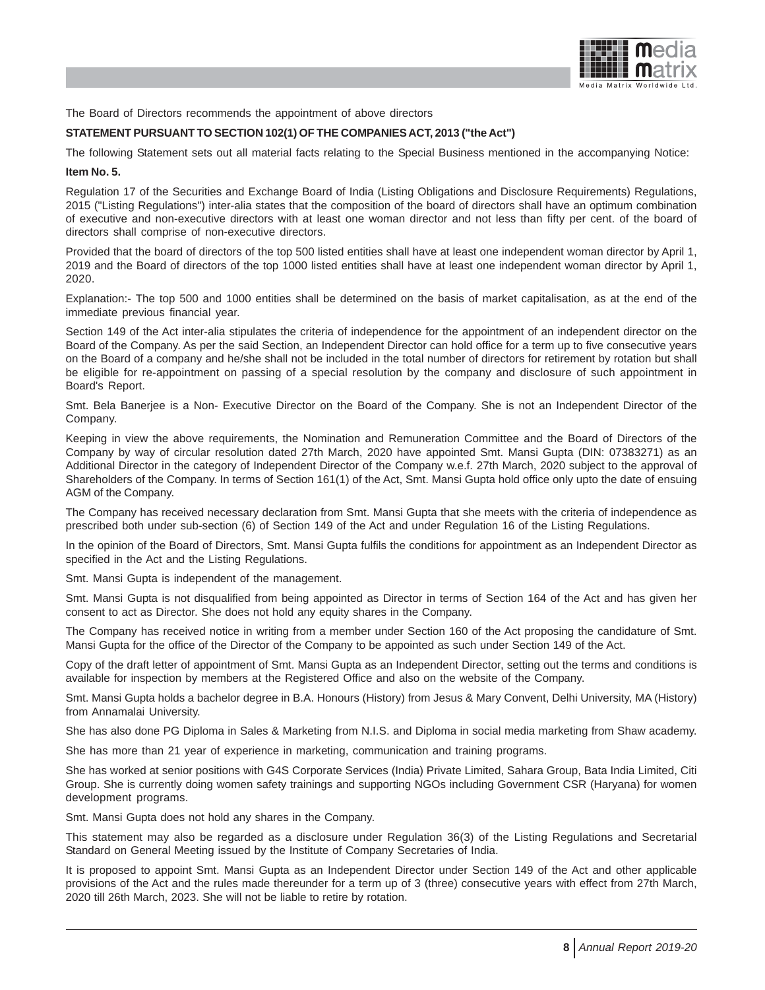

The Board of Directors recommends the appointment of above directors

# **STATEMENT PURSUANT TO SECTION 102(1) OF THE COMPANIES ACT, 2013 ("the Act")**

The following Statement sets out all material facts relating to the Special Business mentioned in the accompanying Notice:

# **Item No. 5.**

Regulation 17 of the Securities and Exchange Board of India (Listing Obligations and Disclosure Requirements) Regulations, 2015 ("Listing Regulations") inter-alia states that the composition of the board of directors shall have an optimum combination of executive and non-executive directors with at least one woman director and not less than fifty per cent. of the board of directors shall comprise of non-executive directors.

Provided that the board of directors of the top 500 listed entities shall have at least one independent woman director by April 1, 2019 and the Board of directors of the top 1000 listed entities shall have at least one independent woman director by April 1, 2020.

Explanation:- The top 500 and 1000 entities shall be determined on the basis of market capitalisation, as at the end of the immediate previous financial year.

Section 149 of the Act inter-alia stipulates the criteria of independence for the appointment of an independent director on the Board of the Company. As per the said Section, an Independent Director can hold office for a term up to five consecutive years on the Board of a company and he/she shall not be included in the total number of directors for retirement by rotation but shall be eligible for re-appointment on passing of a special resolution by the company and disclosure of such appointment in Board's Report.

Smt. Bela Banerjee is a Non- Executive Director on the Board of the Company. She is not an Independent Director of the Company.

Keeping in view the above requirements, the Nomination and Remuneration Committee and the Board of Directors of the Company by way of circular resolution dated 27th March, 2020 have appointed Smt. Mansi Gupta (DIN: 07383271) as an Additional Director in the category of Independent Director of the Company w.e.f. 27th March, 2020 subject to the approval of Shareholders of the Company. In terms of Section 161(1) of the Act, Smt. Mansi Gupta hold office only upto the date of ensuing AGM of the Company.

The Company has received necessary declaration from Smt. Mansi Gupta that she meets with the criteria of independence as prescribed both under sub-section (6) of Section 149 of the Act and under Regulation 16 of the Listing Regulations.

In the opinion of the Board of Directors, Smt. Mansi Gupta fulfils the conditions for appointment as an Independent Director as specified in the Act and the Listing Regulations.

Smt. Mansi Gupta is independent of the management.

Smt. Mansi Gupta is not disqualified from being appointed as Director in terms of Section 164 of the Act and has given her consent to act as Director. She does not hold any equity shares in the Company.

The Company has received notice in writing from a member under Section 160 of the Act proposing the candidature of Smt. Mansi Gupta for the office of the Director of the Company to be appointed as such under Section 149 of the Act.

Copy of the draft letter of appointment of Smt. Mansi Gupta as an Independent Director, setting out the terms and conditions is available for inspection by members at the Registered Office and also on the website of the Company.

Smt. Mansi Gupta holds a bachelor degree in B.A. Honours (History) from Jesus & Mary Convent, Delhi University, MA (History) from Annamalai University.

She has also done PG Diploma in Sales & Marketing from N.I.S. and Diploma in social media marketing from Shaw academy.

She has more than 21 year of experience in marketing, communication and training programs.

She has worked at senior positions with G4S Corporate Services (India) Private Limited, Sahara Group, Bata India Limited, Citi Group. She is currently doing women safety trainings and supporting NGOs including Government CSR (Haryana) for women development programs.

Smt. Mansi Gupta does not hold any shares in the Company.

This statement may also be regarded as a disclosure under Regulation 36(3) of the Listing Regulations and Secretarial Standard on General Meeting issued by the Institute of Company Secretaries of India.

It is proposed to appoint Smt. Mansi Gupta as an Independent Director under Section 149 of the Act and other applicable provisions of the Act and the rules made thereunder for a term up of 3 (three) consecutive years with effect from 27th March, 2020 till 26th March, 2023. She will not be liable to retire by rotation.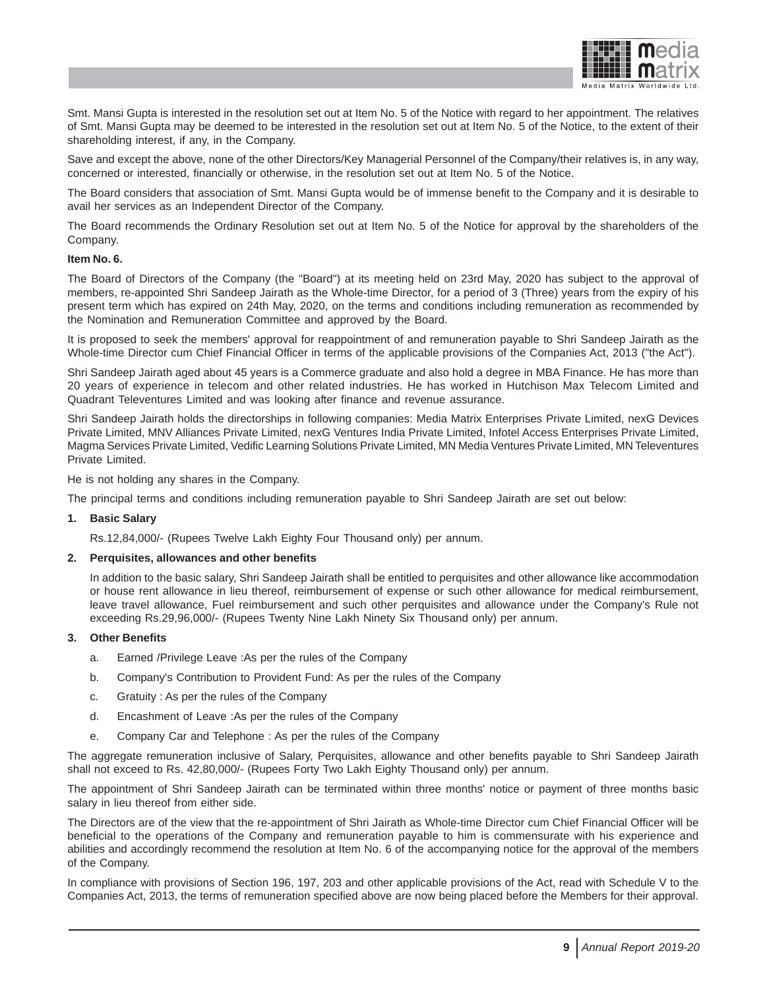

Smt. Mansi Gupta is interested in the resolution set out at Item No. 5 of the Notice with regard to her appointment. The relatives of Smt. Mansi Gupta may be deemed to be interested in the resolution set out at Item No. 5 of the Notice, to the extent of their shareholding interest, if any, in the Company.

Save and except the above, none of the other Directors/Key Managerial Personnel of the Company/their relatives is, in any way, concerned or interested, financially or otherwise, in the resolution set out at Item No. 5 of the Notice.

The Board considers that association of Smt. Mansi Gupta would be of immense benefit to the Company and it is desirable to avail her services as an Independent Director of the Company.

The Board recommends the Ordinary Resolution set out at Item No. 5 of the Notice for approval by the shareholders of the Company.

## **Item No. 6.**

The Board of Directors of the Company (the "Board") at its meeting held on 23rd May, 2020 has subject to the approval of members, re-appointed Shri Sandeep Jairath as the Whole-time Director, for a period of 3 (Three) years from the expiry of his present term which has expired on 24th May, 2020, on the terms and conditions including remuneration as recommended by the Nomination and Remuneration Committee and approved by the Board.

It is proposed to seek the members' approval for reappointment of and remuneration payable to Shri Sandeep Jairath as the Whole-time Director cum Chief Financial Officer in terms of the applicable provisions of the Companies Act, 2013 ("the Act").

Shri Sandeep Jairath aged about 45 years is a Commerce graduate and also hold a degree in MBA Finance. He has more than 20 years of experience in telecom and other related industries. He has worked in Hutchison Max Telecom Limited and Quadrant Televentures Limited and was looking after finance and revenue assurance.

Shri Sandeep Jairath holds the directorships in following companies: Media Matrix Enterprises Private Limited, nexG Devices Private Limited, MNV Alliances Private Limited, nexG Ventures India Private Limited, Infotel Access Enterprises Private Limited, Magma Services Private Limited, Vedific Learning Solutions Private Limited, MN Media Ventures Private Limited, MN Televentures Private Limited.

He is not holding any shares in the Company.

The principal terms and conditions including remuneration payable to Shri Sandeep Jairath are set out below:

#### **1. Basic Salary**

Rs.12,84,000/- (Rupees Twelve Lakh Eighty Four Thousand only) per annum.

# **2. Perquisites, allowances and other benefits**

In addition to the basic salary, Shri Sandeep Jairath shall be entitled to perquisites and other allowance like accommodation or house rent allowance in lieu thereof, reimbursement of expense or such other allowance for medical reimbursement, leave travel allowance, Fuel reimbursement and such other perquisites and allowance under the Company's Rule not exceeding Rs.29,96,000/- (Rupees Twenty Nine Lakh Ninety Six Thousand only) per annum.

# **3. Other Benefits**

- a. Earned /Privilege Leave :As per the rules of the Company
- b. Company's Contribution to Provident Fund: As per the rules of the Company
- c. Gratuity : As per the rules of the Company
- d. Encashment of Leave :As per the rules of the Company
- e. Company Car and Telephone : As per the rules of the Company

The aggregate remuneration inclusive of Salary, Perquisites, allowance and other benefits payable to Shri Sandeep Jairath shall not exceed to Rs. 42,80,000/- (Rupees Forty Two Lakh Eighty Thousand only) per annum.

The appointment of Shri Sandeep Jairath can be terminated within three months' notice or payment of three months basic salary in lieu thereof from either side.

The Directors are of the view that the re-appointment of Shri Jairath as Whole-time Director cum Chief Financial Officer will be beneficial to the operations of the Company and remuneration payable to him is commensurate with his experience and abilities and accordingly recommend the resolution at Item No. 6 of the accompanying notice for the approval of the members of the Company.

In compliance with provisions of Section 196, 197, 203 and other applicable provisions of the Act, read with Schedule V to the Companies Act, 2013, the terms of remuneration specified above are now being placed before the Members for their approval.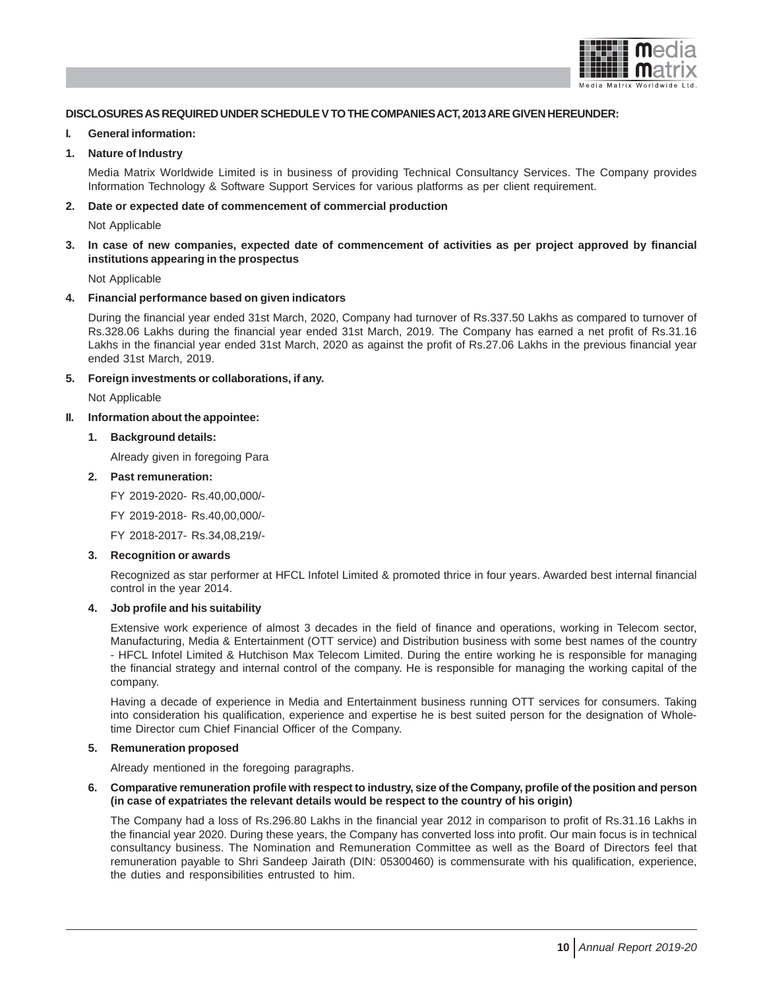

# **DISCLOSURES AS REQUIRED UNDER SCHEDULE V TO THE COMPANIES ACT, 2013 ARE GIVEN HEREUNDER:**

#### **I. General information:**

# **1. Nature of Industry**

Media Matrix Worldwide Limited is in business of providing Technical Consultancy Services. The Company provides Information Technology & Software Support Services for various platforms as per client requirement.

## **2. Date or expected date of commencement of commercial production**

Not Applicable

# **3. In case of new companies, expected date of commencement of activities as per project approved by financial institutions appearing in the prospectus**

Not Applicable

#### **4. Financial performance based on given indicators**

During the financial year ended 31st March, 2020, Company had turnover of Rs.337.50 Lakhs as compared to turnover of Rs.328.06 Lakhs during the financial year ended 31st March, 2019. The Company has earned a net profit of Rs.31.16 Lakhs in the financial year ended 31st March, 2020 as against the profit of Rs.27.06 Lakhs in the previous financial year ended 31st March, 2019.

# **5. Foreign investments or collaborations, if any.**

Not Applicable

# **II. Information about the appointee:**

**1. Background details:**

Already given in foregoing Para

#### **2. Past remuneration:**

FY 2019-2020- Rs.40,00,000/-

FY 2019-2018- Rs.40,00,000/-

FY 2018-2017- Rs.34,08,219/-

## **3. Recognition or awards**

Recognized as star performer at HFCL Infotel Limited & promoted thrice in four years. Awarded best internal financial control in the year 2014.

# **4. Job profile and his suitability**

Extensive work experience of almost 3 decades in the field of finance and operations, working in Telecom sector, Manufacturing, Media & Entertainment (OTT service) and Distribution business with some best names of the country - HFCL Infotel Limited & Hutchison Max Telecom Limited. During the entire working he is responsible for managing the financial strategy and internal control of the company. He is responsible for managing the working capital of the company.

Having a decade of experience in Media and Entertainment business running OTT services for consumers. Taking into consideration his qualification, experience and expertise he is best suited person for the designation of Wholetime Director cum Chief Financial Officer of the Company.

# **5. Remuneration proposed**

Already mentioned in the foregoing paragraphs.

## **6. Comparative remuneration profile with respect to industry, size of the Company, profile of the position and person (in case of expatriates the relevant details would be respect to the country of his origin)**

The Company had a loss of Rs.296.80 Lakhs in the financial year 2012 in comparison to profit of Rs.31.16 Lakhs in the financial year 2020. During these years, the Company has converted loss into profit. Our main focus is in technical consultancy business. The Nomination and Remuneration Committee as well as the Board of Directors feel that remuneration payable to Shri Sandeep Jairath (DIN: 05300460) is commensurate with his qualification, experience, the duties and responsibilities entrusted to him.